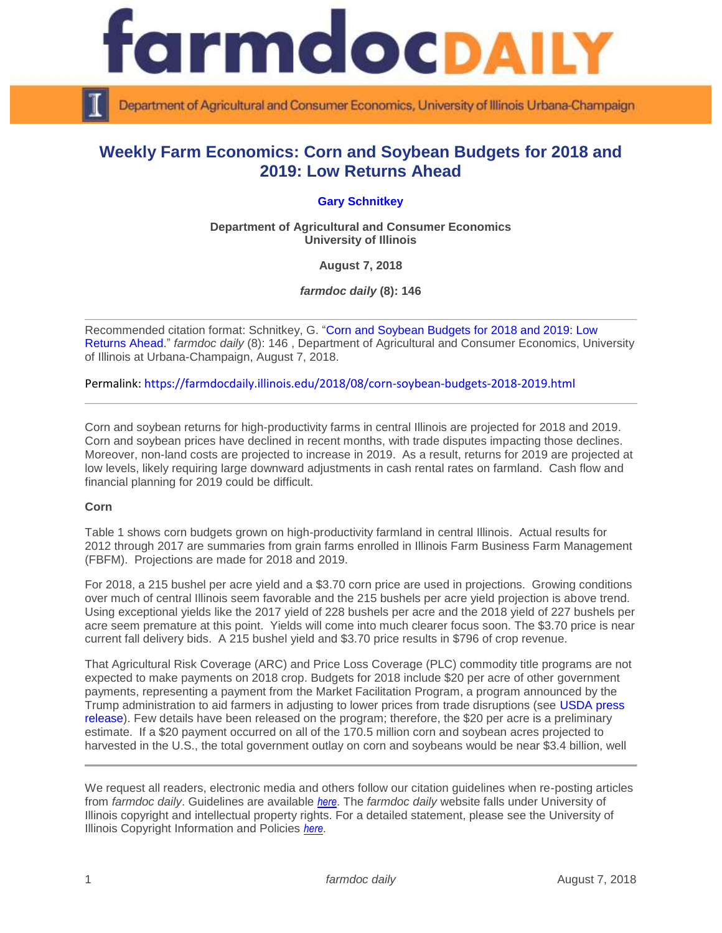

Department of Agricultural and Consumer Economics, University of Illinois Urbana-Champaign

# **Weekly Farm Economics: Corn and Soybean Budgets for 2018 and 2019: Low Returns Ahead**

# **[Gary Schnitkey](http://farmdoc.illinois.edu/schnitkey)**

**Department of Agricultural and Consumer Economics University of Illinois**

**August 7, 2018**

*farmdoc daily* **(8): 146**

Recommended citation format: Schnitkey, G. ["Corn and Soybean Budgets for 2018 and 2019: Low](https://farmdocdaily.illinois.edu/2018/08/corn-soybean-budgets-2018-2019.html)  [Returns Ahead.](https://farmdocdaily.illinois.edu/2018/08/corn-soybean-budgets-2018-2019.html)" *farmdoc daily* (8): 146 , Department of Agricultural and Consumer Economics, University of Illinois at Urbana-Champaign, August 7, 2018.

Permalink:<https://farmdocdaily.illinois.edu/2018/08/corn-soybean-budgets-2018-2019.html>

Corn and soybean returns for high-productivity farms in central Illinois are projected for 2018 and 2019. Corn and soybean prices have declined in recent months, with trade disputes impacting those declines. Moreover, non-land costs are projected to increase in 2019. As a result, returns for 2019 are projected at low levels, likely requiring large downward adjustments in cash rental rates on farmland. Cash flow and financial planning for 2019 could be difficult.

## **Corn**

Table 1 shows corn budgets grown on high-productivity farmland in central Illinois. Actual results for 2012 through 2017 are summaries from grain farms enrolled in Illinois Farm Business Farm Management (FBFM). Projections are made for 2018 and 2019.

For 2018, a 215 bushel per acre yield and a \$3.70 corn price are used in projections. Growing conditions over much of central Illinois seem favorable and the 215 bushels per acre yield projection is above trend. Using exceptional yields like the 2017 yield of 228 bushels per acre and the 2018 yield of 227 bushels per acre seem premature at this point. Yields will come into much clearer focus soon. The \$3.70 price is near current fall delivery bids. A 215 bushel yield and \$3.70 price results in \$796 of crop revenue.

That Agricultural Risk Coverage (ARC) and Price Loss Coverage (PLC) commodity title programs are not expected to make payments on 2018 crop. Budgets for 2018 include \$20 per acre of other government payments, representing a payment from the Market Facilitation Program, a program announced by the Trump administration to aid farmers in adjusting to lower prices from trade disruptions (see [USDA press](https://www.usda.gov/media/press-releases/2018/07/24/usda-assists-farmers-impacted-unjustified-retaliation)  [release\)](https://www.usda.gov/media/press-releases/2018/07/24/usda-assists-farmers-impacted-unjustified-retaliation). Few details have been released on the program; therefore, the \$20 per acre is a preliminary estimate. If a \$20 payment occurred on all of the 170.5 million corn and soybean acres projected to harvested in the U.S., the total government outlay on corn and soybeans would be near \$3.4 billion, well

We request all readers, electronic media and others follow our citation guidelines when re-posting articles from *farmdoc daily*. Guidelines are available *[here](http://farmdocdaily.illinois.edu/citationguide.html)*. The *farmdoc daily* website falls under University of Illinois copyright and intellectual property rights. For a detailed statement, please see the University of Illinois Copyright Information and Policies *[here](http://www.cio.illinois.edu/policies/copyright/)*.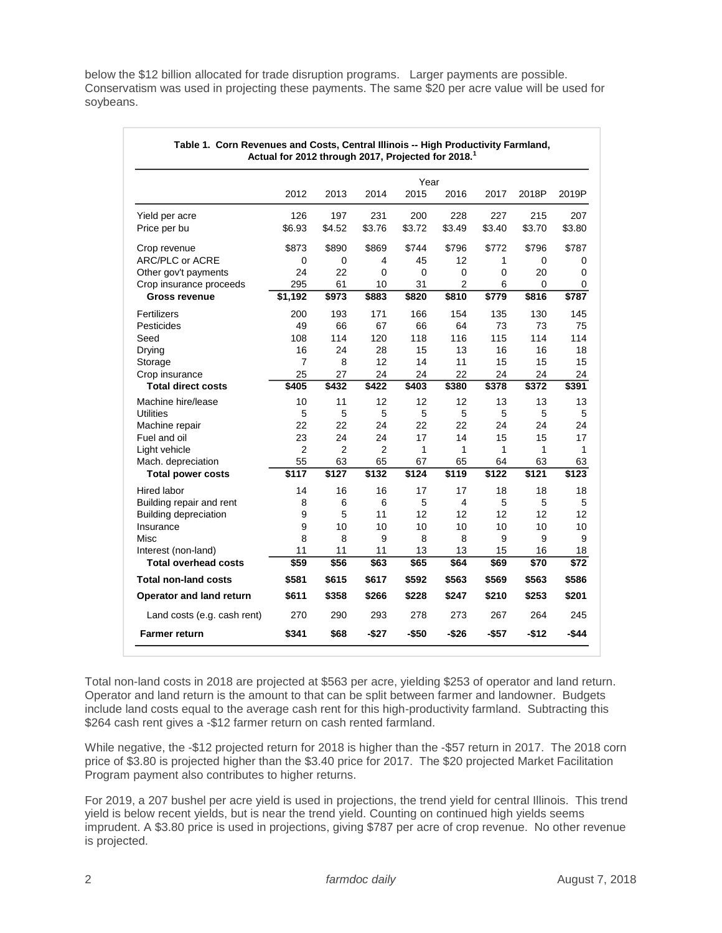below the \$12 billion allocated for trade disruption programs. Larger payments are possible. Conservatism was used in projecting these payments. The same \$20 per acre value will be used for soybeans.

|                             | Actual for 2012 through 2017, Projected for 2018. |                |                |              |                |                   |        |        |  |  |
|-----------------------------|---------------------------------------------------|----------------|----------------|--------------|----------------|-------------------|--------|--------|--|--|
|                             | 2012                                              | 2013           | 2014           | Year<br>2015 | 2016           | 2017              | 2018P  | 2019P  |  |  |
| Yield per acre              | 126                                               | 197            | 231            | 200          | 228            | 227               | 215    | 207    |  |  |
| Price per bu                | \$6.93                                            | \$4.52         | \$3.76         | \$3.72       | \$3.49         | \$3.40            | \$3.70 | \$3.80 |  |  |
| Crop revenue                | \$873                                             | \$890          | \$869          | \$744        | \$796          | \$772             | \$796  | \$787  |  |  |
| ARC/PLC or ACRE             | $\Omega$                                          | 0              | 4              | 45           | 12             | 1                 | 0      | 0      |  |  |
| Other gov't payments        | 24                                                | 22             | $\Omega$       | $\Omega$     | 0              | 0                 | 20     | 0      |  |  |
| Crop insurance proceeds     | 295                                               | 61             | 10             | 31           | $\overline{2}$ | 6                 | 0      | 0      |  |  |
| <b>Gross revenue</b>        | \$1,192                                           | \$973          | \$883          | \$820        | \$810          | $\overline{$779}$ | \$816  | \$787  |  |  |
| Fertilizers                 | 200                                               | 193            | 171            | 166          | 154            | 135               | 130    | 145    |  |  |
| Pesticides                  | 49                                                | 66             | 67             | 66           | 64             | 73                | 73     | 75     |  |  |
| Seed                        | 108                                               | 114            | 120            | 118          | 116            | 115               | 114    | 114    |  |  |
| Drying                      | 16                                                | 24             | 28             | 15           | 13             | 16                | 16     | 18     |  |  |
| Storage                     | 7                                                 | 8              | 12             | 14           | 11             | 15                | 15     | 15     |  |  |
| Crop insurance              | 25                                                | 27             | 24             | 24           | 22             | 24                | 24     | 24     |  |  |
| <b>Total direct costs</b>   | \$405                                             | \$432          | \$422          | $\sqrt{403}$ | \$380          | \$378             | \$372  | \$391  |  |  |
| Machine hire/lease          | 10                                                | 11             | 12             | 12           | 12             | 13                | 13     | 13     |  |  |
| <b>Utilities</b>            | 5                                                 | 5              | 5              | 5            | 5              | 5                 | 5      | 5      |  |  |
| Machine repair              | 22                                                | 22             | 24             | 22           | 22             | 24                | 24     | 24     |  |  |
| Fuel and oil                | 23                                                | 24             | 24             | 17           | 14             | 15                | 15     | 17     |  |  |
| Light vehicle               | $\overline{2}$                                    | $\overline{2}$ | $\overline{2}$ | 1            | 1              | 1                 | 1      | 1      |  |  |
| Mach. depreciation          | 55                                                | 63             | 65             | 67           | 65             | 64                | 63     | 63     |  |  |
| <b>Total power costs</b>    | \$117                                             | \$127          | \$132          | \$124        | \$119          | \$122             | \$121  | \$123  |  |  |
| <b>Hired labor</b>          | 14                                                | 16             | 16             | 17           | 17             | 18                | 18     | 18     |  |  |
| Building repair and rent    | 8                                                 | 6              | 6              | 5            | 4              | 5                 | 5      | 5      |  |  |
| Building depreciation       | 9                                                 | 5              | 11             | 12           | 12             | 12                | 12     | 12     |  |  |
| Insurance                   | 9                                                 | 10             | 10             | 10           | 10             | 10                | 10     | 10     |  |  |
| Misc                        | 8                                                 | 8              | 9              | 8            | 8              | 9                 | 9      | 9      |  |  |
| Interest (non-land)         | 11                                                | 11             | 11             | 13           | 13             | 15                | 16     | 18     |  |  |
| <b>Total overhead costs</b> | \$59                                              | \$56           | \$63           | \$65         | \$64           | \$69              | \$70   | \$72   |  |  |
| <b>Total non-land costs</b> | \$581                                             | \$615          | \$617          | \$592        | \$563          | \$569             | \$563  | \$586  |  |  |
| Operator and land return    | \$611                                             | \$358          | \$266          | \$228        | \$247          | \$210             | \$253  | \$201  |  |  |
| Land costs (e.g. cash rent) | 270                                               | 290            | 293            | 278          | 273            | 267               | 264    | 245    |  |  |
| <b>Farmer return</b>        | \$341                                             | \$68           | -\$27          | $-$50$       | -\$26          | -\$57             | $-$12$ | $-$44$ |  |  |

Total non-land costs in 2018 are projected at \$563 per acre, yielding \$253 of operator and land return. Operator and land return is the amount to that can be split between farmer and landowner. Budgets include land costs equal to the average cash rent for this high-productivity farmland. Subtracting this \$264 cash rent gives a -\$12 farmer return on cash rented farmland.

While negative, the -\$12 projected return for 2018 is higher than the -\$57 return in 2017. The 2018 corn price of \$3.80 is projected higher than the \$3.40 price for 2017. The \$20 projected Market Facilitation Program payment also contributes to higher returns.

For 2019, a 207 bushel per acre yield is used in projections, the trend yield for central Illinois. This trend yield is below recent yields, but is near the trend yield. Counting on continued high yields seems imprudent. A \$3.80 price is used in projections, giving \$787 per acre of crop revenue. No other revenue is projected.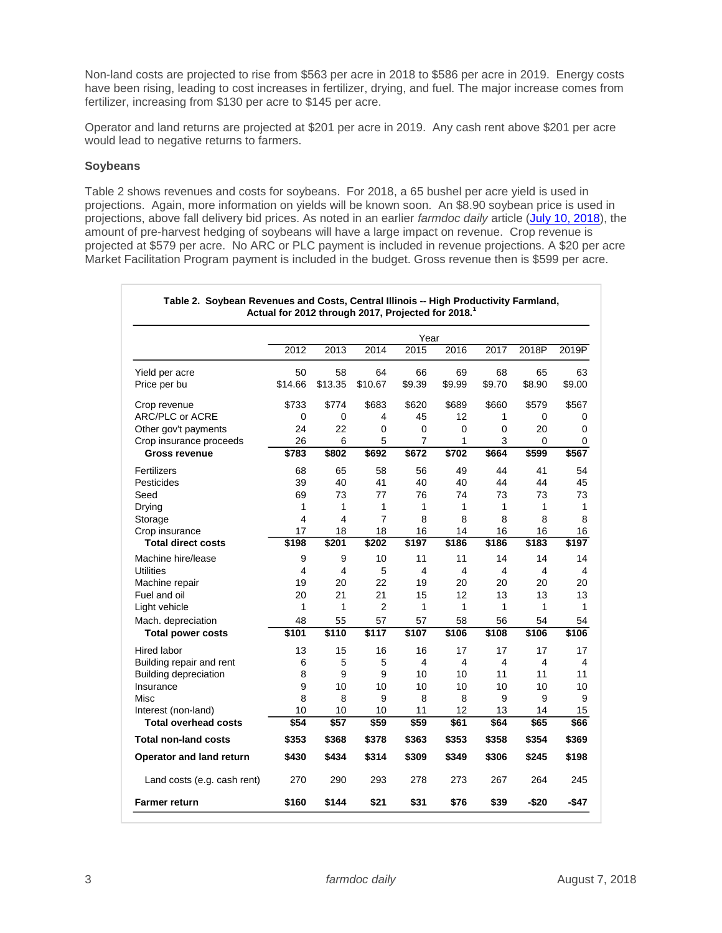Non-land costs are projected to rise from \$563 per acre in 2018 to \$586 per acre in 2019. Energy costs have been rising, leading to cost increases in fertilizer, drying, and fuel. The major increase comes from fertilizer, increasing from \$130 per acre to \$145 per acre.

Operator and land returns are projected at \$201 per acre in 2019. Any cash rent above \$201 per acre would lead to negative returns to farmers.

#### **Soybeans**

Table 2 shows revenues and costs for soybeans. For 2018, a 65 bushel per acre yield is used in projections. Again, more information on yields will be known soon. An \$8.90 soybean price is used in projections, above fall delivery bid prices. As noted in an earlier *farmdoc daily* article [\(July 10, 2018\)](https://farmdocdaily.illinois.edu/2018/07/2018-income-projections-after-recent-price-declines.html), the amount of pre-harvest hedging of soybeans will have a large impact on revenue. Crop revenue is projected at \$579 per acre. No ARC or PLC payment is included in revenue projections. A \$20 per acre Market Facilitation Program payment is included in the budget. Gross revenue then is \$599 per acre.

| Table 2. Soybean Revenues and Costs, Central Illinois -- High Productivity Farmland,<br>Actual for 2012 through 2017, Projected for 2018. <sup>1</sup> |                |         |         |        |        |        |        |        |  |  |  |
|--------------------------------------------------------------------------------------------------------------------------------------------------------|----------------|---------|---------|--------|--------|--------|--------|--------|--|--|--|
|                                                                                                                                                        | Year           |         |         |        |        |        |        |        |  |  |  |
|                                                                                                                                                        | 2012           | 2013    | 2014    | 2015   | 2016   | 2017   | 2018P  | 2019P  |  |  |  |
| Yield per acre                                                                                                                                         | 50             | 58      | 64      | 66     | 69     | 68     | 65     | 63     |  |  |  |
| Price per bu                                                                                                                                           | \$14.66        | \$13.35 | \$10.67 | \$9.39 | \$9.99 | \$9.70 | \$8.90 | \$9.00 |  |  |  |
| Crop revenue                                                                                                                                           | \$733          | \$774   | \$683   | \$620  | \$689  | \$660  | \$579  | \$567  |  |  |  |
| ARC/PLC or ACRE                                                                                                                                        | $\mathbf 0$    | 0       | 4       | 45     | 12     | 1      | 0      | 0      |  |  |  |
| Other gov't payments                                                                                                                                   | 24             | 22      | 0       | 0      | 0      | 0      | 20     | 0      |  |  |  |
| Crop insurance proceeds                                                                                                                                | 26             | 6       | 5       | 7      | 1      | 3      | 0      | 0      |  |  |  |
| <b>Gross revenue</b>                                                                                                                                   | \$783          | \$802   | \$692   | \$672  | \$702  | \$664  | \$599  | \$567  |  |  |  |
| Fertilizers                                                                                                                                            | 68             | 65      | 58      | 56     | 49     | 44     | 41     | 54     |  |  |  |
| Pesticides                                                                                                                                             | 39             | 40      | 41      | 40     | 40     | 44     | 44     | 45     |  |  |  |
| Seed                                                                                                                                                   | 69             | 73      | 77      | 76     | 74     | 73     | 73     | 73     |  |  |  |
| Drying                                                                                                                                                 | 1              | 1       | 1       | 1      | 1      | 1      | 1      | 1      |  |  |  |
| Storage                                                                                                                                                | $\overline{4}$ | 4       | 7       | 8      | 8      | 8      | 8      | 8      |  |  |  |
| Crop insurance                                                                                                                                         | 17             | 18      | 18      | 16     | 14     | 16     | 16     | 16     |  |  |  |
| <b>Total direct costs</b>                                                                                                                              | \$198          | \$201   | \$202   | \$197  | \$186  | \$186  | \$183  | \$197  |  |  |  |
| Machine hire/lease                                                                                                                                     | 9              | 9       | 10      | 11     | 11     | 14     | 14     | 14     |  |  |  |
| <b>Utilities</b>                                                                                                                                       | 4              | 4       | 5       | 4      | 4      | 4      | 4      | 4      |  |  |  |
| Machine repair                                                                                                                                         | 19             | 20      | 22      | 19     | 20     | 20     | 20     | 20     |  |  |  |
| Fuel and oil                                                                                                                                           | 20             | 21      | 21      | 15     | 12     | 13     | 13     | 13     |  |  |  |
| Light vehicle                                                                                                                                          | 1              | 1       | 2       | 1      | 1      | 1      | 1      | 1      |  |  |  |
| Mach. depreciation                                                                                                                                     | 48             | 55      | 57      | 57     | 58     | 56     | 54     | 54     |  |  |  |
| <b>Total power costs</b>                                                                                                                               | \$101          | \$110   | \$117   | \$107  | \$106  | \$108  | \$106  | \$106  |  |  |  |
| <b>Hired labor</b>                                                                                                                                     | 13             | 15      | 16      | 16     | 17     | 17     | 17     | 17     |  |  |  |
| Building repair and rent                                                                                                                               | 6              | 5       | 5       | 4      | 4      | 4      | 4      | 4      |  |  |  |
| <b>Building depreciation</b>                                                                                                                           | 8              | 9       | 9       | 10     | 10     | 11     | 11     | 11     |  |  |  |
| Insurance                                                                                                                                              | 9              | 10      | 10      | 10     | 10     | 10     | 10     | 10     |  |  |  |
| Misc                                                                                                                                                   | 8              | 8       | 9       | 8      | 8      | 9      | 9      | 9      |  |  |  |
| Interest (non-land)                                                                                                                                    | 10             | 10      | 10      | 11     | 12     | 13     | 14     | 15     |  |  |  |
| <b>Total overhead costs</b>                                                                                                                            | \$54           | \$57    | \$59    | \$59   | \$61   | \$64   | \$65   | \$66   |  |  |  |
| <b>Total non-land costs</b>                                                                                                                            | \$353          | \$368   | \$378   | \$363  | \$353  | \$358  | \$354  | \$369  |  |  |  |
| Operator and land return                                                                                                                               | \$430          | \$434   | \$314   | \$309  | \$349  | \$306  | \$245  | \$198  |  |  |  |
| Land costs (e.g. cash rent)                                                                                                                            | 270            | 290     | 293     | 278    | 273    | 267    | 264    | 245    |  |  |  |
| <b>Farmer return</b>                                                                                                                                   | \$160          | \$144   | \$21    | \$31   | \$76   | \$39   | -\$20  | -\$47  |  |  |  |